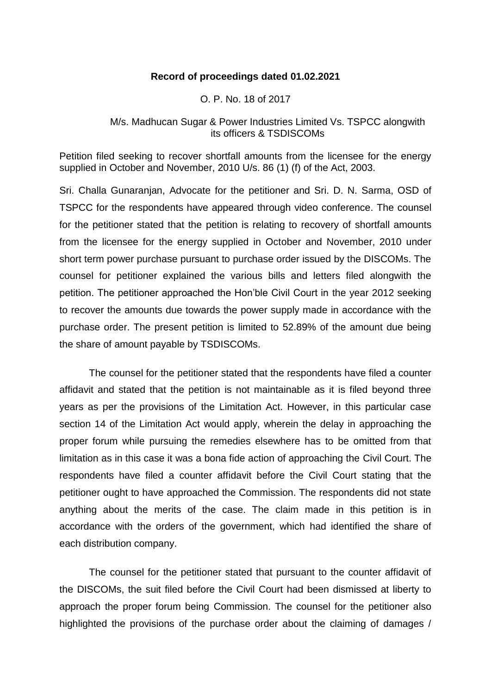### **Record of proceedings dated 01.02.2021**

#### O. P. No. 18 of 2017

## M/s. Madhucan Sugar & Power Industries Limited Vs. TSPCC alongwith its officers & TSDISCOMs

Petition filed seeking to recover shortfall amounts from the licensee for the energy supplied in October and November, 2010 U/s. 86 (1) (f) of the Act, 2003.

Sri. Challa Gunaranjan, Advocate for the petitioner and Sri. D. N. Sarma, OSD of TSPCC for the respondents have appeared through video conference. The counsel for the petitioner stated that the petition is relating to recovery of shortfall amounts from the licensee for the energy supplied in October and November, 2010 under short term power purchase pursuant to purchase order issued by the DISCOMs. The counsel for petitioner explained the various bills and letters filed alongwith the petition. The petitioner approached the Hon'ble Civil Court in the year 2012 seeking to recover the amounts due towards the power supply made in accordance with the purchase order. The present petition is limited to 52.89% of the amount due being the share of amount payable by TSDISCOMs.

The counsel for the petitioner stated that the respondents have filed a counter affidavit and stated that the petition is not maintainable as it is filed beyond three years as per the provisions of the Limitation Act. However, in this particular case section 14 of the Limitation Act would apply, wherein the delay in approaching the proper forum while pursuing the remedies elsewhere has to be omitted from that limitation as in this case it was a bona fide action of approaching the Civil Court. The respondents have filed a counter affidavit before the Civil Court stating that the petitioner ought to have approached the Commission. The respondents did not state anything about the merits of the case. The claim made in this petition is in accordance with the orders of the government, which had identified the share of each distribution company.

The counsel for the petitioner stated that pursuant to the counter affidavit of the DISCOMs, the suit filed before the Civil Court had been dismissed at liberty to approach the proper forum being Commission. The counsel for the petitioner also highlighted the provisions of the purchase order about the claiming of damages /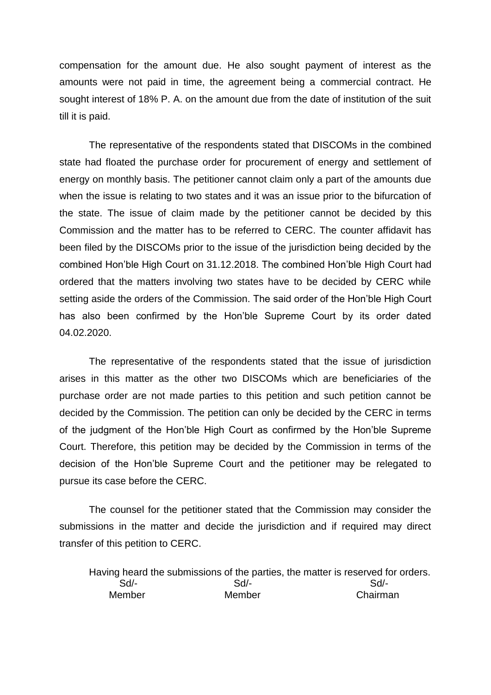compensation for the amount due. He also sought payment of interest as the amounts were not paid in time, the agreement being a commercial contract. He sought interest of 18% P. A. on the amount due from the date of institution of the suit till it is paid.

The representative of the respondents stated that DISCOMs in the combined state had floated the purchase order for procurement of energy and settlement of energy on monthly basis. The petitioner cannot claim only a part of the amounts due when the issue is relating to two states and it was an issue prior to the bifurcation of the state. The issue of claim made by the petitioner cannot be decided by this Commission and the matter has to be referred to CERC. The counter affidavit has been filed by the DISCOMs prior to the issue of the jurisdiction being decided by the combined Hon'ble High Court on 31.12.2018. The combined Hon'ble High Court had ordered that the matters involving two states have to be decided by CERC while setting aside the orders of the Commission. The said order of the Hon'ble High Court has also been confirmed by the Hon'ble Supreme Court by its order dated 04.02.2020.

The representative of the respondents stated that the issue of jurisdiction arises in this matter as the other two DISCOMs which are beneficiaries of the purchase order are not made parties to this petition and such petition cannot be decided by the Commission. The petition can only be decided by the CERC in terms of the judgment of the Hon'ble High Court as confirmed by the Hon'ble Supreme Court. Therefore, this petition may be decided by the Commission in terms of the decision of the Hon'ble Supreme Court and the petitioner may be relegated to pursue its case before the CERC.

The counsel for the petitioner stated that the Commission may consider the submissions in the matter and decide the jurisdiction and if required may direct transfer of this petition to CERC.

Having heard the submissions of the parties, the matter is reserved for orders. Sd/- Sd/- Sd/- Member Member Chairman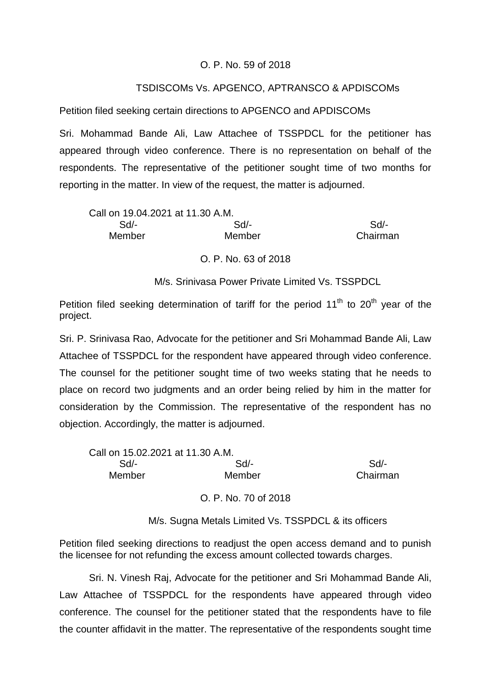## O. P. No. 59 of 2018

# TSDISCOMs Vs. APGENCO, APTRANSCO & APDISCOMs

Petition filed seeking certain directions to APGENCO and APDISCOMs

Sri. Mohammad Bande Ali, Law Attachee of TSSPDCL for the petitioner has appeared through video conference. There is no representation on behalf of the respondents. The representative of the petitioner sought time of two months for reporting in the matter. In view of the request, the matter is adjourned.

| Sd/-   | Sd/-                             |
|--------|----------------------------------|
| Member | Chairman                         |
|        | Call on 19.04.2021 at 11.30 A.M. |

O. P. No. 63 of 2018

M/s. Srinivasa Power Private Limited Vs. TSSPDCL

Petition filed seeking determination of tariff for the period  $11<sup>th</sup>$  to  $20<sup>th</sup>$  year of the project.

Sri. P. Srinivasa Rao, Advocate for the petitioner and Sri Mohammad Bande Ali, Law Attachee of TSSPDCL for the respondent have appeared through video conference. The counsel for the petitioner sought time of two weeks stating that he needs to place on record two judgments and an order being relied by him in the matter for consideration by the Commission. The representative of the respondent has no objection. Accordingly, the matter is adjourned.

| Call on 15.02.2021 at 11.30 A.M. |        |          |
|----------------------------------|--------|----------|
| Sd/-                             | Sd/-   | Sd/-     |
| Member                           | Member | Chairman |
|                                  |        |          |

O. P. No. 70 of 2018

M/s. Sugna Metals Limited Vs. TSSPDCL & its officers

Petition filed seeking directions to readjust the open access demand and to punish the licensee for not refunding the excess amount collected towards charges.

Sri. N. Vinesh Raj, Advocate for the petitioner and Sri Mohammad Bande Ali, Law Attachee of TSSPDCL for the respondents have appeared through video conference. The counsel for the petitioner stated that the respondents have to file the counter affidavit in the matter. The representative of the respondents sought time